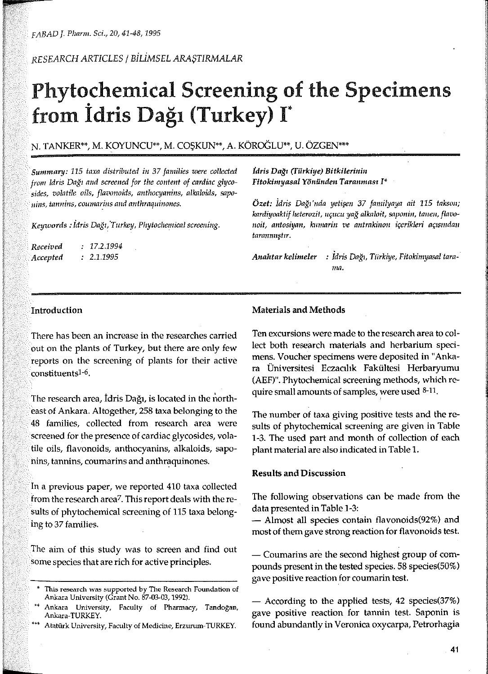*RESEARCH ARTICLES* /

# Phytochemical Screening of the Specimens from İdris Dağı (Turkey) I\*

## N. TANKER\*\*, M. KOYUNCU\*\*, M. COŞKUN\*\*, A. KÖROĞLU\*\*, U. ÖZGEN\*\*\*

115 *taxa distributed in 37 families were collected* from Idris Dağı and screened for the content of cardiac glyco*sides, volatile oils, flavonoids, anthocyanins, alkaloids, sapoand* 

Keywords: Idris Dağı, Turkey, Phytochemical screening.

*Received Accepted 17.2.1994 2.1.1995* 

*idris (Türkiye) l\** 

Özet: İdris Dağı'nda yetişen 37 familyaya ait 115 takson; kardiyoaktif heterozit, uçucu yağ alkaloit, saponin, tanen, flavonoit, antosiyan, kumarin ve antrakinon içerikleri açısından tarannuştır.

Anahtar kelimeler : Idris Dağı, Türkiye, Fitokimyasal tarama.

### Introduction

There has been an increase in the researches carried out on the plants of Turkey, but there are only few reports on the screening of plants for their active constituentsl-6.

The research area, Idris Dağı, is located in the northeast of Ankara. Altogether, 258 taxa belonging to the 48 families, collected from research area were screened for the presence of cardiac glycosides, volatile oils, flavonoids, anthocyanins, alkaloids, sapo**nins, tannins, coumarins and** 

in a previous paper, we reported 410 taxa collected from the research area<sup>7</sup>. This report deals with the results of phytochemical screening of 115 taxa belonging to 37 families.

The aim of this study was to screen and find out some species that are rich for active principles.

#### Materials and Methods

Ten excursions were made to the research area to collect both research materials and herbarium specimens. Voucher specimens were deposited in "Ankara Üniversitesi Fakültesi Herbaryumu (AEF)". Phytochemical screening methods, which require small amounts of samples, were used 8-11.

The number of taxa giving positive tests and the results of phytochemical screening are given in Table 1-3. The used part and month of collection of each plant material are also indicated in Table 1.

#### Results and Discussion

The following observations can be made from the data presented in Table 1-3:

- Almost ali species contain flavonoids(92%) and most of them gave strong reaction for flavonoids test.

This research was supported by The Research Foundation of **Ankara University (Grant No. 87-03-03, 1992).** 

Ankara University, Faculty of Pharmacy, Tandoğan, Ankara-TURKEY.

Atatürk University, Faculty of Medicine, Erzurum-TURKEY.

<sup>-</sup> Coumarins are the second highest group of compounds present in the tested species. 58 species(50%) gave positive reaction for coumarin test.

<sup>-</sup> According to the applied tests, 42 species(37%) gave positive reaction for tannin test. Saponin is found abundantly in Veronica oxycarpa, Petrorhagia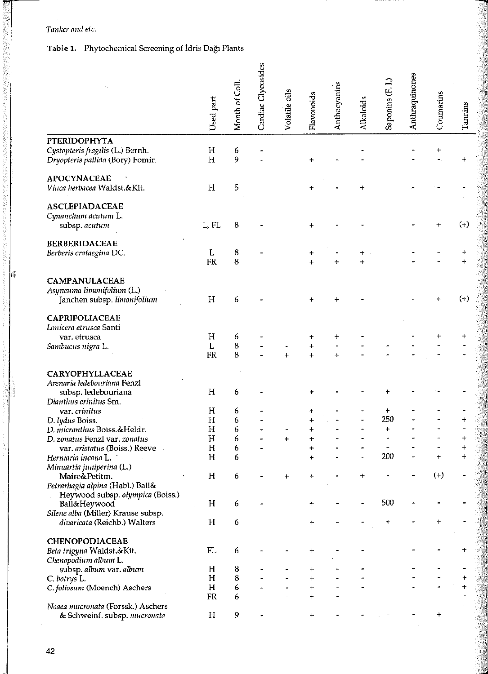#### *Tanker and ete.*

# Tabie ı. **Phytochemical Screening of** İdris Dağı **Plants**

|   |                                                                                        | Used part   | Month of Coll | Cardiac Glycosides | Volatile oils | Flavonoids | Anthocyanins | <b>Alkaloids</b> | Saponins (F. I | Anthraquinones | Coumarins | Tannins    |
|---|----------------------------------------------------------------------------------------|-------------|---------------|--------------------|---------------|------------|--------------|------------------|----------------|----------------|-----------|------------|
|   | <b>PTERIDOPHYTA</b>                                                                    |             |               |                    |               |            |              |                  |                |                |           |            |
|   | Cystopteris fragilis (L.) Bernh.<br>Dryopteris pallida (Bory) Fomin                    | Η<br>H      | 6<br>9        |                    |               |            |              |                  |                |                |           |            |
|   | <b>APOCYNACEAE</b><br>Vinca herbacea Waldst.&Kit.                                      | H           | 5             |                    |               |            |              |                  |                |                |           |            |
|   | <b>ASCLEPIADACEAE</b><br>Cynanchum acutum L.<br>subsp. acutum                          | L, FL       | 8             |                    |               | +          |              |                  |                |                |           | $(+)$      |
|   | <b>BERBERIDACEAE</b>                                                                   |             |               |                    |               |            |              |                  |                |                |           |            |
|   | Berberis crataegina DC.                                                                | L           | 8             |                    |               |            |              | +                |                |                |           | ┿          |
|   |                                                                                        | FR          | 8             |                    |               |            |              |                  |                |                |           | $\ddot{+}$ |
| h | CAMPANULACEAE<br>Asyneuma limonifolium (L.)<br>Janchen subsp. limonifolium             | H           | 6             |                    |               |            |              |                  |                |                |           | $(+)$      |
|   | CAPRIFOLIACEAE<br>Lonicera etrusca Santi                                               |             |               |                    |               |            |              |                  |                |                |           |            |
|   | var. etrusca                                                                           | H           | 6             |                    |               |            |              |                  |                |                |           |            |
|   | Sambucus nigra L.                                                                      | L           | 8             |                    |               | $\ddot{}$  |              |                  |                |                |           |            |
|   |                                                                                        | <b>FR</b>   | 8             |                    | Ŧ             | $\ddot{}$  |              |                  |                |                |           |            |
|   | CARYOPHYLLACEAE<br>Arenaria ledebouriana Fenzl<br>subsp. ledebouriana                  | Η           | 6             |                    |               |            |              |                  |                |                |           |            |
|   | Dianthus crinitus Sm.<br>var. crinitus                                                 | Η           | 6             |                    |               |            |              |                  | $\pmb{+}$      |                |           |            |
|   |                                                                                        | $\mathbf H$ | 6             |                    |               |            |              |                  | 250            |                |           | $\ddot{}$  |
|   | D. lydus Boiss.<br>D. micranthus Boiss.&Heldr.                                         | Η           | 6             |                    |               |            |              |                  | $\ddot{}$      |                |           |            |
|   | D. zonatus Fenzl var. zonatus                                                          | $H_{\rm}$   | 6             |                    |               | $\ddag$    |              |                  |                |                |           | +          |
|   |                                                                                        | $H_{\rm}$   | 6             |                    | $\ddot{}$     |            |              |                  |                |                |           | $\ddot{}$  |
|   | var. aristatus (Boiss.) Reeve<br>Herniaria incana L.                                   | $\mathbf H$ | 6             |                    |               |            |              |                  | 200            |                | $\ddot{}$ | $\ddot{}$  |
|   | Minuartia juniperina (L.)                                                              |             |               |                    |               |            |              |                  |                |                |           |            |
|   | Maire&Petitm.<br>Petrarhagia alpina (Habl.) Ball&                                      | H           | 6             |                    |               |            |              |                  |                |                | $(-)$     |            |
|   | Heywood subsp. olympica (Boiss.)<br>Ball&Heywood<br>Silene alba (Miller) Krause subsp. | H           | 6             |                    |               |            |              |                  | 500            |                |           |            |
|   | divaricata (Reichb.) Walters                                                           | H           | 6             |                    |               | +          |              |                  |                |                | +         |            |
|   | CHENOPODIACEAE                                                                         |             |               |                    |               |            |              |                  |                |                |           |            |
|   | Beta trigyna Waldst.&Kit.<br>Chenopodium album L.                                      | FL          | 6             |                    |               |            |              |                  |                |                |           | +          |
|   | subsp. album var. album                                                                | H           | 8             |                    |               |            |              |                  |                |                |           |            |
|   | C. botrys L.                                                                           | H           | 8             |                    |               | $\ddot{}$  |              |                  |                |                |           | +          |
|   | C. foliosum (Moench) Aschers                                                           | H           | 6             |                    |               | $\ddot{}$  |              |                  |                |                |           | $\ddot{}$  |
|   |                                                                                        | FR          | 6             |                    |               | $\ddot{}$  |              |                  |                |                |           |            |
|   | Noaea mucronata (Forssk.) Aschers                                                      |             |               |                    |               |            |              |                  |                |                |           |            |
|   | & Schweinf. subsp. mucronata                                                           | $H_{\rm 2}$ | 9             |                    |               |            |              |                  |                |                |           |            |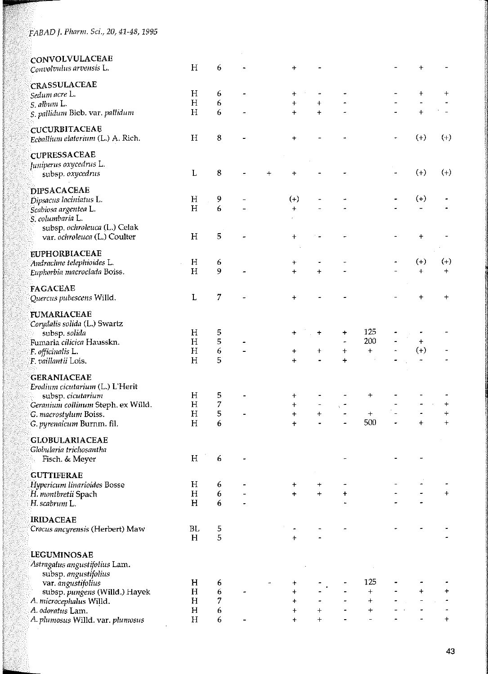| <b>CONVOLVULACEAE</b>              |                 |        |           |           |                |                          |                  |                |                   |            |
|------------------------------------|-----------------|--------|-----------|-----------|----------------|--------------------------|------------------|----------------|-------------------|------------|
| Convolvulus arvensis L.            | Η               | 6      |           |           |                |                          |                  |                | ┿                 |            |
|                                    |                 |        |           |           |                |                          |                  |                |                   |            |
| CRASSULACEAE                       |                 |        |           |           |                |                          |                  |                |                   |            |
| Sedum acre L.                      | Η               | 6      |           | +         |                |                          |                  |                | +                 | +          |
| S. album L.                        | H               | 6      |           | $\ddot{}$ | $\ddag$        |                          |                  |                | $\qquad \qquad -$ |            |
| S. pallidum Bieb. var. pallidum    | H               | 6      |           | $+$       | $+$            |                          |                  |                | $\ddot{}$         |            |
| <b>CUCURBITACEAE</b>               |                 |        |           |           |                |                          |                  |                |                   |            |
| Ecballium elaterium (L.) A. Rich.  | $H_{\rm}$       | 8      |           | $\ddot{}$ |                |                          |                  |                | $(+)$             | $(+)$      |
|                                    |                 |        |           |           |                |                          |                  |                |                   |            |
| <b>CUPRESSACEAE</b>                |                 |        |           |           |                |                          |                  |                |                   |            |
| Juniperus oxycedrus L.             |                 |        |           |           |                |                          |                  |                |                   |            |
| subsp. oxycedrus                   | L               | 8      | $\ddot{}$ | ተ         |                |                          |                  |                | $(+)$             | $(+)$      |
|                                    |                 |        |           |           |                |                          |                  |                |                   |            |
| <b>DIPSACACEAE</b>                 |                 |        |           |           |                |                          |                  |                |                   |            |
| Dipsacus laciniatus L.             | Н               | 9      |           | $(+)$     |                |                          |                  |                | $(+)$             |            |
| Scabiosa argentea L.               | H               | 6      |           | $\ddot{}$ |                |                          |                  |                |                   |            |
| S. columbaria L.                   |                 |        |           |           |                |                          |                  |                |                   |            |
| subsp. ochroleuca (L.) Celak       |                 |        |           |           |                |                          |                  |                |                   |            |
| var. ochroleuca (L.) Coulter       | H               | 5      |           | $\ddot{}$ |                |                          |                  |                | $\ddot{}$         |            |
|                                    |                 |        |           |           |                |                          |                  |                |                   |            |
| <b>EUPHORBIACEAE</b>               |                 |        |           |           |                |                          |                  |                |                   |            |
| Andrachne telephioides L.          | H               | 6      |           | +         |                |                          |                  |                | $^{(+)}$          | $(-)$      |
| Euphorbia macroclada Boiss.        | H               | 9      |           | $+$       | $\ddot{}$      |                          |                  |                | $\ddot{}$         | $\ddot{}$  |
| <b>FAGACEAE</b>                    |                 |        |           |           |                |                          |                  |                |                   |            |
| Quercus pubescens Willd.           | L               | 7      |           | $\,{}^+$  |                |                          |                  |                | $\ddot{}$         | $\ddot{}$  |
|                                    |                 |        |           |           |                |                          |                  |                |                   |            |
| <b>FUMARIACEAE</b>                 |                 |        |           |           |                |                          |                  |                |                   |            |
| Corydalis solida (L.) Swartz       |                 |        |           |           |                |                          |                  |                |                   |            |
| subsp. solida                      | H               | 5      |           | +         | +              | ÷                        | 125              |                |                   |            |
| Fumaria cilicica Hausskn.          | Η               | 5      |           |           |                | $\tilde{\phantom{a}}$    | 200              |                | $\ddag$           |            |
| F. officinalis L.                  | $H_{\rm}$       | 6      |           | $\,{}^+$  | +              | $\ddag$                  | $\ddag$          |                | $(+)$             |            |
| F. vaillantii Lois.                | H               | 5      |           | 4         |                | $\ddot{}$                |                  |                |                   |            |
|                                    |                 |        |           |           |                |                          |                  |                |                   |            |
| <b>GERANIACEAE</b>                 |                 |        |           |           |                |                          |                  |                |                   |            |
| Erodium cicutarium (L.) L'Herit    |                 |        |           |           |                |                          |                  |                |                   |            |
| subsp. cicutarium                  | н               | 5      |           | +         |                |                          | ÷                |                |                   |            |
| Geranium collinum Steph. ex Willd. | $\rm H$         | 7      |           | $\ddot{}$ |                | ÷.                       |                  |                |                   | $\pmb{+}$  |
| G. macrostylum Boiss.              | H               | 5      |           | $\ddot{}$ | $\ddot{}$      | $\tilde{\phantom{a}}$    | $\boldsymbol{+}$ |                |                   | $\ddot{}$  |
| G. pyrenaicum Burnm. fil.          | H               | 6      |           | $+$       |                | $\overline{\phantom{a}}$ | 500              | $\blacksquare$ | $+$               | $\ddot{+}$ |
|                                    |                 |        |           |           |                |                          |                  |                |                   |            |
| <b>GLOBULARIACEAE</b>              |                 |        |           |           |                |                          |                  |                |                   |            |
| Globularia trichosantha            |                 |        |           |           |                |                          |                  |                |                   |            |
| Fisch. & Meyer                     | $H_{\parallel}$ | 6      |           |           |                |                          |                  |                |                   |            |
|                                    |                 |        |           |           |                |                          |                  |                |                   |            |
| <b>GUTTIFERAE</b>                  | $\rm H$         |        |           |           |                |                          |                  |                |                   |            |
| Hypericum linarioides Bosse        | H               | 6<br>6 |           | ÷<br>$+$  | +<br>$\ddot{}$ | $\ddot{}$                |                  |                |                   | $\ddot{}$  |
| H. montbretii Spach                | H               |        |           |           |                |                          |                  |                |                   |            |
| H. scabrum L.                      |                 | 6      |           |           |                |                          |                  |                |                   |            |
| <b>IRIDACEAE</b>                   |                 |        |           |           |                |                          |                  |                |                   |            |
| Crocus ancyrensis (Herbert) Maw    | BL              | 5      |           |           |                |                          |                  |                |                   |            |
|                                    | H               | 5      |           | $\ddot{}$ |                |                          |                  |                |                   |            |
|                                    |                 |        |           |           |                |                          |                  |                |                   |            |
| LEGUMINOSAE                        |                 |        |           |           |                |                          |                  |                |                   |            |
| Astragalus angustifolius Lam.      |                 |        |           |           |                |                          |                  |                |                   |            |
| subsp. angustifolius               |                 |        |           |           |                |                          |                  |                |                   |            |
| var. angustifolius                 | H               | 6      |           |           |                |                          | 125              |                |                   |            |
| subsp. pungens (Willd.) Hayek      | H               | 6      |           | $\pmb{+}$ |                |                          | $\ddot{}$        |                | $\ddot{}$         | +          |
| A. microcephalus Willd.            | H               | 7      |           | $\ddot{}$ |                |                          | $\ddot{}$        |                |                   |            |
| A. odoratus Lam.                   | $\mathbf H$     | 6      |           | $\ddag$   |                |                          | $\ddag$          |                |                   |            |
| A. plumosus Willd. var. plumosus   | H               | 6      |           |           |                |                          |                  |                |                   | $\ddag$    |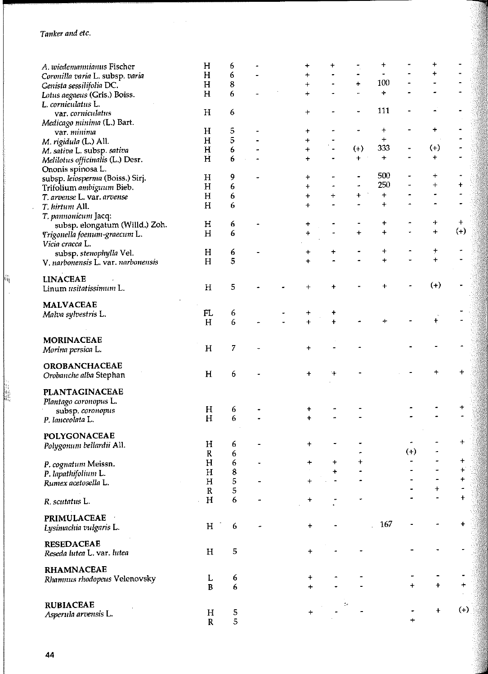$\varphi\in\mathcal{A}$ 

|    | A. wiedemannianus Fischer          | H            | 6      |  | +                      | +          |           |             |                              |                |           |
|----|------------------------------------|--------------|--------|--|------------------------|------------|-----------|-------------|------------------------------|----------------|-----------|
|    | Coronilla varia L. subsp. varia    | H            | 6      |  | $\ddotmark$            |            |           |             |                              | +              |           |
|    | Genista sessilifolia DC.           | H            | 8      |  | $\ddot{}$              |            | $\ddot{}$ | 100         |                              |                |           |
|    | Lotus aegaeus (Gris.) Boiss.       | H            | 6      |  | $\ddot{}$              |            |           | $\ddot{}$   |                              |                |           |
|    | L. corniculatus L.                 |              |        |  |                        |            |           |             |                              |                |           |
|    | var. corniculatus                  | H            | 6      |  | +                      |            |           | 111         |                              |                |           |
|    | Medicago minima (L.) Bart.         |              |        |  |                        |            |           |             |                              |                |           |
|    | var. minima                        | H            | 5      |  | +                      |            |           | $\ddot{}$   |                              | +              |           |
|    | M. rigidula (L.) All.              | H            | 5      |  | $\ddag$                |            |           | $\ddag$     |                              |                |           |
|    | M. sativa L. subsp. sativa         | H            | 6      |  | $\ddot{}$              |            | $(+)$     | 333         | $\qquad \qquad \blacksquare$ | $(+)$          |           |
|    | Melilotus officinalis (L.) Desr.   | H            | 6      |  | $\ddot{}$              |            | $\ddot{}$ | $\ddot{}$   |                              | +              |           |
|    | Ononis spinosa L                   |              |        |  |                        |            |           |             |                              |                |           |
|    | subsp. leiosperma (Boiss.) Sirj.   | H            | 9      |  | +                      |            |           | 500         |                              | $\pmb{+}$      |           |
|    | Trifolium ambiguum Bieb.           | H            | 6      |  | $\ddot{}$              |            |           | 250         |                              | $\ddot{}$      | $\pmb{+}$ |
|    | T. arvense L. var. arvense         | H            | 6      |  | $\ddot{}$              | $\ddot{}$  | $\ddot{}$ | $\ddot{}$   |                              |                |           |
|    |                                    | H            | 6      |  | +                      |            |           | $\ddot{}$   |                              |                |           |
|    | T. hirtum All.                     |              |        |  |                        |            |           |             |                              |                |           |
|    | T. pannonicum Jacq:                |              |        |  |                        |            |           | ÷           |                              | +              | $\ddot{}$ |
|    | subsp. elongatum (Willd.) Zoh.     | $\mathbf H$  | 6      |  | +                      |            | $\ddot{}$ | $\ddotmark$ |                              | $\ddot{}$      | $(+)$     |
|    | Trigonella foenum-graecum L.       | $\mathbf H$  | 6      |  | ÷                      |            |           |             |                              |                |           |
|    | Vicia cracca L.                    |              |        |  |                        |            |           |             |                              |                |           |
|    | subsp. stenophylla Vel.            | H            | 6      |  |                        | +          |           | +           |                              | ŧ<br>$\ddot{}$ |           |
|    | V. narbonensis L. var. narbonensis | H            | 5      |  | $\ddot{}$              |            |           | $\ddot{}$   |                              |                |           |
|    |                                    |              |        |  |                        |            |           |             |                              |                |           |
| h, | <b>LINACEAE</b>                    |              |        |  |                        |            |           |             |                              | $(+)$          |           |
|    | Linum usitatissimum L.             | $\mathbf H$  | 5      |  |                        |            |           |             |                              |                |           |
|    |                                    |              |        |  |                        |            |           |             |                              |                |           |
|    | <b>MALVACEAE</b>                   | FL           |        |  |                        | ÷          |           |             |                              |                |           |
|    | Malva sylvestris L.                | H            | 6<br>6 |  | $\,{}^+$<br>$\ddot{+}$ | $\ddot{+}$ |           |             |                              | ÷              |           |
|    |                                    |              |        |  |                        |            |           |             |                              |                |           |
|    | <b>MORINACEAE</b>                  |              |        |  |                        |            |           |             |                              |                |           |
|    |                                    | H            | 7      |  |                        |            |           |             |                              |                |           |
|    | Morina persica L.                  |              |        |  |                        |            |           |             |                              |                |           |
|    | <b>OROBANCHACEAE</b>               |              |        |  |                        |            |           |             |                              |                |           |
|    | Orobanche alba Stephan             | H            | 6      |  | $\,{}^+$               |            |           |             |                              |                | $\ddot{}$ |
|    |                                    |              |        |  |                        |            |           |             |                              |                |           |
|    | <b>PLANTAGINACEAE</b>              |              |        |  |                        |            |           |             |                              |                |           |
|    | Plantago coronopus L.              |              |        |  |                        |            |           |             |                              |                |           |
|    | subsp. coronopus                   | н            | 6      |  |                        |            |           |             |                              |                |           |
|    | P. lanceolata L.                   | H            | 6      |  |                        |            |           |             |                              |                |           |
|    |                                    |              |        |  |                        |            |           |             |                              |                |           |
|    | POLYGONACEAE                       |              |        |  |                        |            |           |             |                              |                |           |
|    | Polygonum bellardii All.           | H            | 6      |  |                        |            |           |             |                              |                | $\ddot{}$ |
|    |                                    | ${\bf R}$    | 6      |  |                        |            |           |             | $^{(+)}$                     |                |           |
|    | P. cognatum Meissn.                | Н            | 6      |  | $\ddag$                | +          | +         |             |                              |                | ÷         |
|    | P. lapathifolium L.                | $\mathbf H$  | 8      |  |                        | ÷          |           |             |                              |                | $\pm$     |
|    | Rumex acetosella L.                | $\mathbf H$  | 5      |  | $\ddot{}$              |            |           |             |                              |                | $+$       |
|    |                                    | $\mathbb{R}$ | 5      |  |                        |            |           |             |                              | +              |           |
|    |                                    | H            | 6      |  | +                      |            |           |             |                              |                | $+$       |
|    | R. scutatus L.                     |              |        |  |                        |            |           |             |                              |                |           |
|    | PRIMULACEAE                        |              |        |  |                        |            |           |             |                              |                |           |
|    | Lysimachia vulgaris L.             | $H_{\rm}$    | 6      |  | +                      |            |           | 167         |                              |                | ÷         |
|    |                                    |              |        |  |                        |            |           |             |                              |                |           |
|    | <b>RESEDACEAE</b>                  |              |        |  |                        |            |           |             |                              |                |           |
|    | Reseda lutea L. var. lutea         | н            | 5      |  | ÷                      |            |           |             |                              |                |           |
|    |                                    |              |        |  |                        |            |           |             |                              |                |           |
|    | <b>RHAMNACEAE</b>                  |              |        |  |                        |            |           |             |                              |                |           |
|    | Rhamnus rhodopeus Velenovsky       | L            | 6      |  | +                      |            |           |             |                              |                |           |
|    |                                    | $\bf{B}$     | 6      |  | $\ddot{}$              |            |           |             | $+$                          | $+$            | $\ddot{}$ |
|    |                                    |              |        |  |                        |            |           |             |                              |                |           |
|    | <b>RUBIACEAE</b>                   |              |        |  |                        |            | ÷.        |             |                              |                |           |
|    | Asperula arvensis L.               | H            | 5      |  | +                      |            |           |             |                              | $\ddot{}$      | $(+)$     |
|    |                                    | $\mathbf R$  | 5      |  |                        |            |           |             | $+$                          |                |           |
|    |                                    |              |        |  |                        |            |           |             |                              |                |           |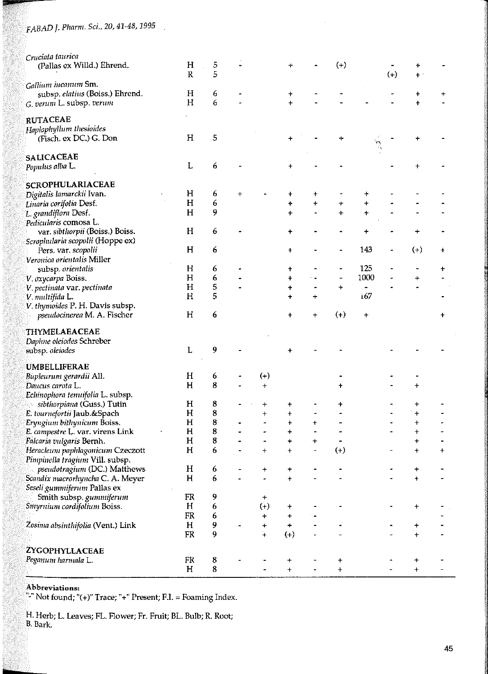| Cruciata taurica                  |             |         |   |            |            |                     |             |            |       |             |   |
|-----------------------------------|-------------|---------|---|------------|------------|---------------------|-------------|------------|-------|-------------|---|
| (Pallas ex Willd.) Ehrend.        | H           | 5       |   |            |            |                     | $^{(+)}$    |            |       |             |   |
|                                   | $\mathbb R$ | 5       |   |            |            |                     |             |            | $(+)$ | $+$ .       |   |
| Gallium incanum Sm.               |             |         |   |            |            |                     |             |            |       |             |   |
| subsp. elatius (Boiss.) Ehrend.   | H           | 6       |   |            | ٠          |                     |             |            |       | +           |   |
| G. verum L. subsp. verum          | H           | 6       |   |            | $\ddot{}$  |                     |             |            |       | $\ddot{}$   |   |
|                                   |             |         |   |            |            |                     |             |            |       |             |   |
| <b>RUTACEAE</b>                   |             |         |   |            |            |                     |             |            |       |             |   |
| Haplophyllum thesioides           |             |         |   |            |            |                     |             |            |       |             |   |
|                                   | H           | 5       |   |            |            |                     |             |            |       |             |   |
| (Fisch. ex DC.) G. Don            |             |         |   |            |            |                     | ┿           |            |       |             |   |
|                                   |             |         |   |            |            |                     |             |            |       |             |   |
| <b>SALICACEAE</b>                 |             |         |   |            |            |                     |             |            |       |             |   |
| Populus alba L.                   | L           | 6       |   |            | +          |                     |             |            |       |             |   |
|                                   |             |         |   |            |            |                     |             |            |       |             |   |
| <b>SCROPHULARIACEAE</b>           |             |         |   |            |            |                     |             |            |       |             |   |
| Digitalis lamarckii Ivan.         | Η           | 6       | + |            | $\ddot{}$  | +                   |             |            |       |             |   |
| Linaria corifolia Desf.           | H           | 6       |   |            | ÷          | $\ddagger$          | $\div$      | $\ddagger$ |       |             |   |
| L. grandiflora Desf.              | H           | 9       |   |            | $\ddot{}$  |                     | $\ddot{}$   | $\ddot{}$  |       |             |   |
| Pedicularis comosa L.             |             |         |   |            |            |                     |             |            |       |             |   |
|                                   | H           | 6       |   |            |            |                     |             |            |       |             |   |
| var. sibthorpii (Boiss.) Boiss.   |             |         |   |            | ÷          |                     |             | $\ddot{}$  |       |             |   |
| Scropludaria scopolii (Hoppe ex)  |             |         |   |            |            |                     |             |            |       |             |   |
| Pers. var. scopolii               | H           | 6       |   |            | +          |                     |             | 143        | ٠     | $^{(+)}$    | + |
| Veronica orientalis Miller        |             |         |   |            |            |                     |             |            |       |             |   |
| subsp. orientalis                 | H           | 6       |   |            | +          |                     |             | 125        |       |             | ÷ |
| V oxycarpa Boiss.                 | $\mathbf H$ | 6       |   |            | $\ddag$    |                     |             | 1000       |       | $\ddot{}$   |   |
| V pectinata var. pectinata        | $H_{\rm}$   | 5       |   |            | +          | $\hat{\phantom{a}}$ | $\div$      | ۰          |       |             |   |
| V. multifida L.                   | H           | 5       |   |            | +          | +                   |             | 167        |       |             |   |
| V. thymoides P. H. Davis subsp.   |             |         |   |            |            |                     |             |            |       |             |   |
| pseudocinerea M. A. Fischer       | H           | 6       |   |            | $\ddagger$ | $\pmb{+}$           | $(+)$       | $\ddot{}$  |       |             | + |
|                                   |             |         |   |            |            |                     |             |            |       |             |   |
| THYMELAEACEAE                     |             |         |   |            |            |                     |             |            |       |             |   |
|                                   |             |         |   |            |            |                     |             |            |       |             |   |
| Dapline oleiodes Schreber         |             |         |   |            |            |                     |             |            |       |             |   |
| subsp. oleiodes                   | L           | 9       |   |            |            |                     |             |            |       |             |   |
|                                   |             |         |   |            |            |                     |             |            |       |             |   |
| <b>UMBELLIFERAE</b>               |             |         |   |            |            |                     |             |            |       |             |   |
| Bupleurum gerardii All.           | H           | 6       |   | $(+)$      |            |                     |             |            |       |             |   |
| Daucus carota L.                  | H           | 8       |   | $\ddot{}$  |            |                     |             |            |       | $\pmb{+}$   |   |
| Echinophora tenuifolia L. subsp.  |             |         |   |            |            |                     |             |            |       |             |   |
| sibthorpiana (Guss.) Tutin        | H           | 8       |   | +          | +          |                     | +           |            |       | +           |   |
| E. tournefortii Jaub.&Spach       | H           | 8       |   | $\ddagger$ | $\ddot{}$  |                     |             |            |       | +           |   |
| Eryngium bithynicum Boiss.        | H           | 8       |   |            | $\ddagger$ | $\ddag$             |             |            |       | $\ddagger$  |   |
| E. campestre L. var. virens Link  | H           | 8       |   |            | +          |                     |             |            |       | +           |   |
| Falcaria vulgaris Bernh.          | н           | 8       |   |            | $\,{}^+$   | +                   |             |            |       | +           |   |
| Heracleum paphlagonicum Czeczott  | H           | 6       |   | +          |            |                     | $(+)$       |            |       | +           | ╇ |
| Pimpinella tragium Vill. subsp.   |             |         |   |            |            |                     |             |            |       |             |   |
|                                   |             |         |   |            |            |                     |             |            |       |             |   |
| pseudotragium (DC.) Matthews      | $H_{\rm}$   | 6       |   |            |            |                     |             |            |       |             |   |
| Scandix macrorhyncha C. A. Meyer  | H           | 6       |   |            | +          |                     |             |            |       | $\ddot{}$   |   |
| Seseli gummiferum Pallas ex       |             |         |   |            |            |                     |             |            |       |             |   |
| Smith subsp. gunnniferum          | FR          | 9       |   | +          |            |                     |             |            |       |             |   |
| Smyrnium cordifolium Boiss.       | H           | 6       |   | $^{(+)}$   | +          |                     |             |            |       | $\ddot{}$   |   |
|                                   | FR          | 6       |   | 4          | $\pmb{+}$  |                     |             |            |       |             |   |
| Zosima absinthifolia (Vent.) Link | H           | 9       |   | ÷          |            |                     |             |            |       | +           |   |
|                                   | FR          | 9       |   | 4          | $(+)$      |                     |             |            |       | $\ddot{}$   |   |
|                                   |             |         |   |            |            |                     |             |            |       |             |   |
| ZYGOPHYLLACEAE                    |             |         |   |            |            |                     |             |            |       |             |   |
| Peganum harmala L.                | FR          | $\bf8$  |   |            | $\ddagger$ |                     | $\mathbf +$ |            |       | $\mathbf +$ |   |
|                                   | H           | $\bf 8$ |   |            | $\ddagger$ |                     | $\ddag$     |            |       | $\ddag$     |   |
|                                   |             |         |   |            |            |                     |             |            |       |             |   |

Abbreviations:<br>"-" Not found; "(+)" Trace; "+" Present; F.I. = Foaming Index.

H. Herb; L. l.eaves; FL. Flower; Fr. Fruit; BL. Bulb; R. Root; B. Bark.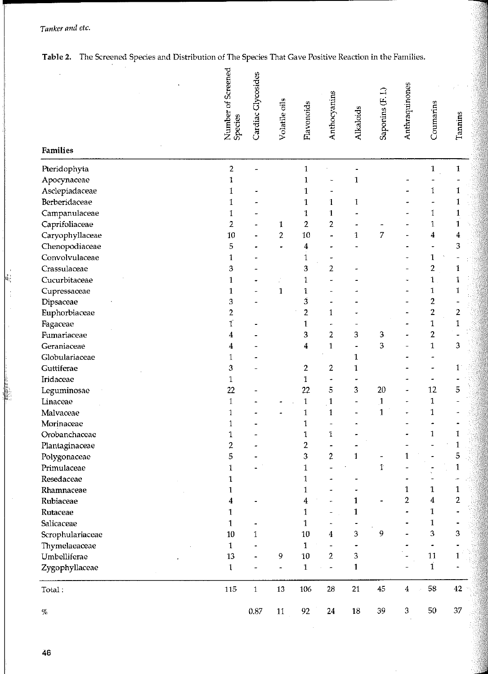*Tanker and ete.* 

| Table 2. The Screened Species and Distribution of The Species That Gave Positive Reaction in the Families. |
|------------------------------------------------------------------------------------------------------------|
|------------------------------------------------------------------------------------------------------------|

|    |                             | Number of Screened<br>Species | Cardiac Glycosides       | Volatile oils           | Flavonoids       | Anthocyanins   | Alkaloids    | Saponins (F. I.)  | Anthraquinones | Coumarins                    | Tannins          |
|----|-----------------------------|-------------------------------|--------------------------|-------------------------|------------------|----------------|--------------|-------------------|----------------|------------------------------|------------------|
|    | Families                    |                               |                          |                         |                  |                |              |                   |                |                              |                  |
|    | Pteridophyta                | $\overline{c}$                |                          |                         | $\mathbf{1}$     |                |              |                   |                | $\mathbf{1}$                 | 1                |
|    | Apocynaceae                 | 1                             |                          |                         | 1                |                | $\mathbf{1}$ |                   |                |                              |                  |
|    | Asclepiadaceae              | 1                             |                          |                         | 1                |                |              |                   |                | $\mathbf 1$                  | 1                |
|    | Berberidaceae               | 1                             |                          |                         | 1                | 1              | 1            |                   |                |                              | 1                |
|    | Campanulaceae               | 1                             |                          |                         | 1                | 1              |              |                   |                | 1                            | 1                |
|    | Caprifoliaceae              | 2                             |                          | 1                       | 2                | $\overline{2}$ |              |                   |                | $\mathbf{1}$                 | 1                |
|    | Caryophyllaceae             | 10                            |                          | $\overline{\mathbf{c}}$ | $10\,$           |                | $\mathbf{1}$ | 7                 |                | $\boldsymbol{4}$             | $\boldsymbol{4}$ |
|    | Chenopodiaceae              | 5                             |                          |                         | $\overline{4}$   |                |              |                   |                |                              | 3                |
|    | Convolvulaceae              | 1                             |                          |                         | 1                |                |              |                   |                | $\mathbf{1}$                 |                  |
| ŧ, | Crassulaceae                | 3                             |                          |                         | 3                | $\overline{2}$ |              |                   |                | $\overline{\mathbf{c}}$      | $\mathbf{1}$     |
|    | Cucurbitaceae               | 1                             |                          |                         | 1                |                |              |                   |                | $\mathbf{1}$                 | $\mathbf 1$      |
|    | Cupressaceae                | 1                             |                          | $\mathbf{1}$            | 1                |                |              |                   |                | $\mathbf 1$                  | $\mathbf 1$      |
|    | Dipsaceae                   | 3                             |                          |                         | 3                |                |              |                   |                | $\overline{2}$               |                  |
|    | Euphorbiaceae               | $\overline{c}$                |                          |                         | 2                | $\mathbf{1}$   |              |                   |                | $\overline{2}$               | $\mathbf{2}$     |
|    | Fagaceae                    | ľ                             |                          |                         | 1                |                |              |                   |                | $\mathbf{1}$                 | $\mathbbm{1}$    |
|    | Fumariaceae                 | 4                             |                          |                         | 3                | $\overline{2}$ | 3            | 3.                |                | $\overline{2}$               |                  |
|    | Geraniaceae                 | 4                             |                          |                         | 4                | $\mathbf{1}$   |              | 3                 |                | $\mathbf{1}$                 | 3                |
|    | Globulariaceae              | 1                             |                          |                         |                  |                | 1            |                   |                |                              |                  |
|    | Guttiferae                  | 3                             |                          |                         | 2                | 2              | 1            |                   |                |                              | $\mathbf{1}$     |
|    | Iridaceae                   | 1                             |                          |                         | 1                |                |              |                   |                | 12                           | 5                |
|    | Leguminosae                 | 22                            |                          |                         | 22               | 5              | 3            | 20                |                |                              |                  |
|    | Linaceae                    | $\mathbf{1}$                  |                          |                         | $\mathbbm{1}$    | $\mathbf{1}$   |              | 1<br>$\mathbf{1}$ |                | $\mathbf{1}$<br>$\mathbf{1}$ |                  |
|    | Malvaceae                   | 1                             |                          |                         | $\mathbf 1$<br>1 | $\mathbf{1}$   |              |                   |                |                              |                  |
|    | Morinaceae<br>Orobanchaceae | 1<br>1                        |                          |                         | 1                | 1              |              |                   |                | $\mathbf{1}$                 | 1                |
|    |                             | 2                             |                          |                         | 2                |                |              |                   |                |                              | $\mathbf{1}$     |
|    | Plantaginaceae              | 5                             |                          |                         | 3                | $\overline{c}$ | 1            |                   | 1              |                              | 5                |
|    | Polygonaceae<br>Primulaceae |                               |                          |                         |                  |                |              |                   |                |                              | 1                |
|    | Resedaceae                  | 1<br>1                        |                          |                         | 1<br>1           |                |              | T                 |                |                              |                  |
|    | Rhamnaceae                  | 1                             |                          |                         | 1                |                |              |                   | 1              | $\mathbf{1}$                 | 1                |
|    | Rubiaceae                   | 4                             |                          |                         | 4                |                | 1            |                   | $\overline{2}$ | 4                            | 2                |
|    | Rutaceae                    | 1                             |                          |                         | 1                |                | 1            |                   |                | 1                            |                  |
|    | Salicaceae                  | $\mathbf{1}$                  |                          |                         | 1                |                |              |                   |                | $\mathbf{1}$                 |                  |
|    | Scrophulariaceae            | 10                            | 1                        |                         | 10               | 4              | 3            | 9                 |                | 3                            | 3                |
|    | Thymelaeaceae               | $\mathbf{1}$                  |                          |                         | $\mathbf{1}$     |                |              |                   |                | $\blacksquare$               |                  |
|    | Umbelliferae                | 13                            |                          | 9                       | 10               | 2              | 3            |                   |                | 11                           | $1^{\circ}$      |
|    | Zygophyllaceae              | $\mathbf{1}$                  | $\overline{\phantom{0}}$ | $\hat{\textbf{z}}$      | $\mathbf{1}$     | ÷,             | 1            |                   |                | $\vec{1}$                    |                  |
|    | Total:                      | 115                           | $\,1$                    | 13                      | 106              | 28             | 21           | 45                | $\bf{4}$       | 58<br>$\mathcal{P}$          | 42               |
|    | %                           |                               | 0.87                     | $11\,$                  | 92               | $24\,$         | 18           | 39                | 3              | 50                           | 37               |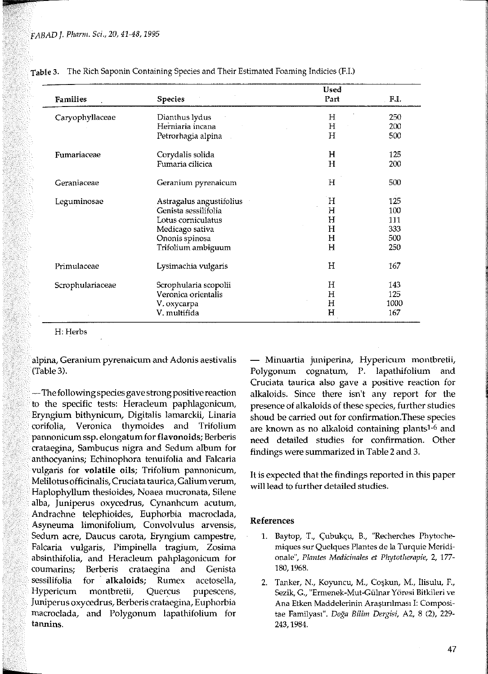| <b>Families</b>  | <b>Species</b>           | Used<br>Part | F.I. |
|------------------|--------------------------|--------------|------|
| Caryophyllaceae  | Dianthus lydus           | Н            | 250  |
|                  | Herniaria incana         | Н            | 200  |
|                  | Petrorhagia alpina       | Н            | 500  |
| Fumariaceae      | Corydalis solida         | Н            | 125  |
|                  | Fumaria cilicica         | Н            | 200  |
| Geraniaceae      | Geranium pyrenaicum      | Н            | 500  |
| Leguminosae      | Astragalus angustifolius | Н            | 125  |
|                  | Genista sessilifolia     | H            | 100  |
|                  | Lotus corniculatus       | Н            | 111  |
|                  | Medicago sativa          | H            | 333  |
|                  | Ononis spinosa           | Н            | 500  |
|                  | Trifolium ambiguum       | н            | 250  |
| Primulaceae      | Lysimachia vulgaris      | H            | 167  |
| Scrophulariaceae | Scrophularia scopolii    | Н            | 143  |
|                  | Veronica orientalis      | н            | 125  |
|                  | V. oxycarpa              | Η            | 1000 |
|                  | V. multifida             | н            | 167  |

Table 3. The Rich Saponin Containing Species and Their Estimated Foaming Indicies (F.I.)

H: Herbs

**alpina, Geranium pyrenaicum and Adonis aestivalis**  (Table3).

— The following species gave strong positive reactionto the specific tests: Heracleum paphlagonicum, Eryngium bithynicum, Digitalis lamarckii, Linaria corifolia, Veronica thymoides and Trifolium pannonicum ssp. elongatum for flavonoids; Berberis crataegina, Sambucus nigra and Sedum album for anthocyanins; Echinophora tenuifolia and Falcaria vulgaris for **volatile** oils; Trifolium pannonicum, Melilotus officinalis, Cruciata taurica, Galium verum, Haplophyllum thesioides, Noaea mucronata, Silene alba, juniperus oxycedrus, Cynanhcum acutum, Andrachne telephioides, Euphorbia macroclada, Asyneuma limonifolium, Convolvulus arvensis, Sedurn acre, Daucus carota, Eryngium campestre, Falcaria vulgaris, Pimpinella tragium, Zosima absinthifolia, and Heracleum pahplagonicum for coumarins; Berberis crataegina and Genista sessilifolia for alkaloids; Rumex acetosella, Hypericum montbretii, Quercus pupescens, Juniperus oxycedrus, Berberis crataegina, Euphorbia macroclada, and Polygonum lapathifolium for **tannins.** 

- **Minuartia juniperina, Hypericum montbretii,**  Polygonum cognatum, P. lapathifolium and Cruciata taurica also gave a positive reaction for alkaloids. Since there isn't any report for the presence of alkaloids of these species, further studies shoud be carried out for confirmation.These species are known as no alkaloid containing plantsl-6 and need detailed studies for confirmation. Other findings were summarized in Table 2 and 3.

It is expected that the findings reported in this paper will lead to further detailed studies.

#### References

- 1. Baytop, T., Çubukçu, B., "Recherches Phytoche**miques sur Quelques Plantes de la Turquie Meridi**onale", Plantes Medicinales et Phytotherapie, 2, 177-180, 1968.
- 2. Tanker, N., Koyuncu, M., Coşkun, M., İlisulu, F., **Sezik, G., "Ermenek-Mut-Gülnar Yöresi Bitkileri ve**  Ana Etken Maddelerinin Arastırılması I: Compositae *Bilim Dergisi,* A2, 8 (2), 229- 243, 1984.